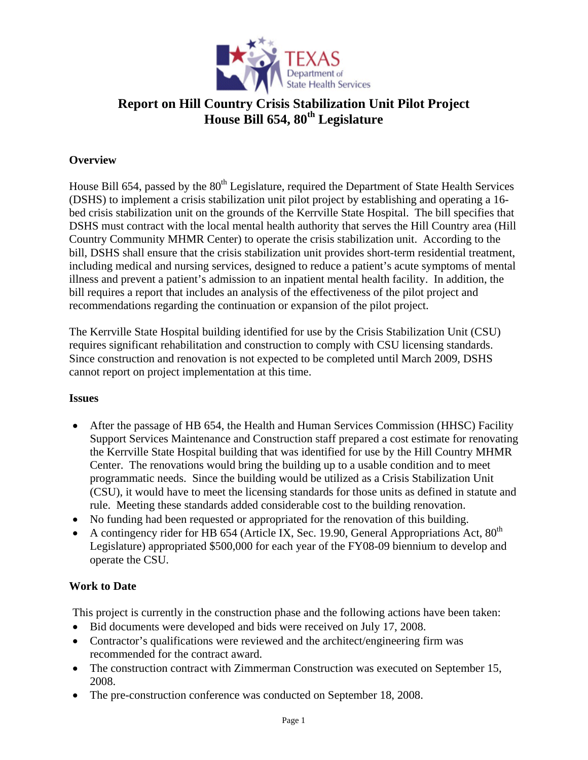

# **Report on Hill Country Crisis Stabilization Unit Pilot Project House Bill 654, 80th Legislature**

#### **Overview**

House Bill 654, passed by the 80<sup>th</sup> Legislature, required the Department of State Health Services (DSHS) to implement a crisis stabilization unit pilot project by establishing and operating a 16 bed crisis stabilization unit on the grounds of the Kerrville State Hospital. The bill specifies that DSHS must contract with the local mental health authority that serves the Hill Country area (Hill Country Community MHMR Center) to operate the crisis stabilization unit. According to the bill, DSHS shall ensure that the crisis stabilization unit provides short-term residential treatment, including medical and nursing services, designed to reduce a patient's acute symptoms of mental illness and prevent a patient's admission to an inpatient mental health facility. In addition, the bill requires a report that includes an analysis of the effectiveness of the pilot project and recommendations regarding the continuation or expansion of the pilot project.

The Kerrville State Hospital building identified for use by the Crisis Stabilization Unit (CSU) requires significant rehabilitation and construction to comply with CSU licensing standards. Since construction and renovation is not expected to be completed until March 2009, DSHS cannot report on project implementation at this time.

#### **Issues**

- After the passage of HB 654, the Health and Human Services Commission (HHSC) Facility Support Services Maintenance and Construction staff prepared a cost estimate for renovating the Kerrville State Hospital building that was identified for use by the Hill Country MHMR Center. The renovations would bring the building up to a usable condition and to meet programmatic needs. Since the building would be utilized as a Crisis Stabilization Unit (CSU), it would have to meet the licensing standards for those units as defined in statute and rule. Meeting these standards added considerable cost to the building renovation.
- No funding had been requested or appropriated for the renovation of this building.
- A contingency rider for HB 654 (Article IX, Sec. 19.90, General Appropriations Act,  $80^{th}$ ) Legislature) appropriated \$500,000 for each year of the FY08-09 biennium to develop and operate the CSU.

### **Work to Date**

This project is currently in the construction phase and the following actions have been taken:

- Bid documents were developed and bids were received on July 17, 2008.
- Contractor's qualifications were reviewed and the architect/engineering firm was recommended for the contract award.
- The construction contract with Zimmerman Construction was executed on September 15, 2008.
- The pre-construction conference was conducted on September 18, 2008.